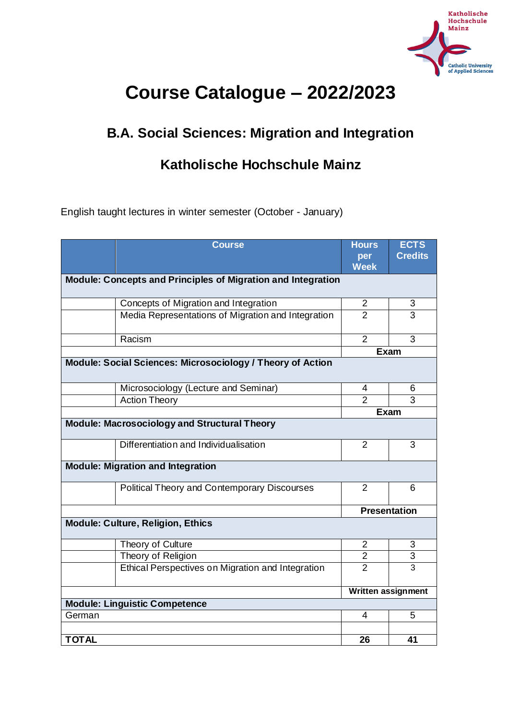

# **Course Catalogue – 2022/2023**

# **B.A. Social Sciences: Migration and Integration**

## **Katholische Hochschule Mainz**

English taught lectures in winter semester (October - January)

|                                                              | <b>Course</b>                                              | <b>Hours</b>              | <b>ECTS</b>    |  |
|--------------------------------------------------------------|------------------------------------------------------------|---------------------------|----------------|--|
|                                                              |                                                            | per                       | <b>Credits</b> |  |
|                                                              |                                                            | <b>Week</b>               |                |  |
| Module: Concepts and Principles of Migration and Integration |                                                            |                           |                |  |
|                                                              | Concepts of Migration and Integration                      | 2                         | 3              |  |
|                                                              | Media Representations of Migration and Integration         | $\overline{2}$            | 3              |  |
|                                                              | Racism                                                     | $\overline{2}$            | 3              |  |
|                                                              |                                                            | <b>Exam</b>               |                |  |
|                                                              | Module: Social Sciences: Microsociology / Theory of Action |                           |                |  |
|                                                              | Microsociology (Lecture and Seminar)                       | 4                         | 6              |  |
|                                                              | <b>Action Theory</b>                                       | $\mathfrak{p}$            | 3              |  |
|                                                              |                                                            | <b>Exam</b>               |                |  |
| <b>Module: Macrosociology and Structural Theory</b>          |                                                            |                           |                |  |
|                                                              | Differentiation and Individualisation                      | $\overline{2}$            | 3              |  |
| <b>Module: Migration and Integration</b>                     |                                                            |                           |                |  |
|                                                              | Political Theory and Contemporary Discourses               | $\overline{2}$            | 6              |  |
|                                                              |                                                            | <b>Presentation</b>       |                |  |
|                                                              | <b>Module: Culture, Religion, Ethics</b>                   |                           |                |  |
|                                                              | Theory of Culture                                          | $\overline{2}$            | 3              |  |
|                                                              | Theory of Religion                                         | $\overline{2}$            | $\overline{3}$ |  |
|                                                              | Ethical Perspectives on Migration and Integration          | $\overline{2}$            | $\overline{3}$ |  |
|                                                              |                                                            | <b>Written assignment</b> |                |  |
| <b>Module: Linguistic Competence</b>                         |                                                            |                           |                |  |
| German                                                       |                                                            | 4                         | 5              |  |
|                                                              |                                                            |                           |                |  |
| <b>TOTAL</b>                                                 |                                                            | 26                        | 41             |  |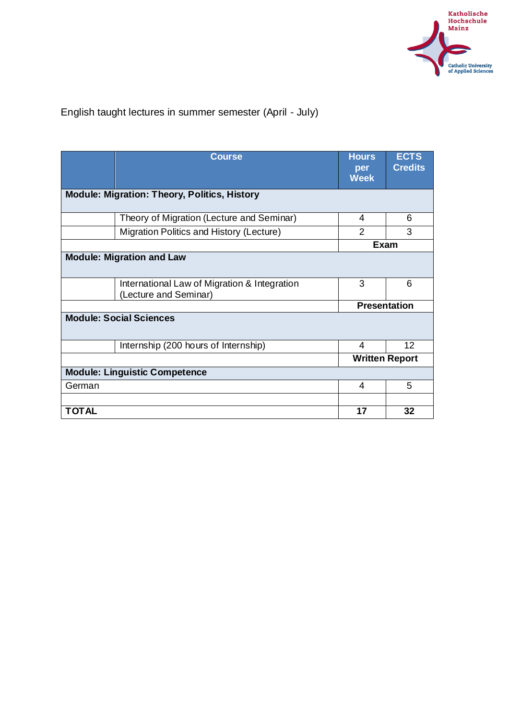

## English taught lectures in summer semester (April - July)

|                                                     | <b>Course</b>                                                         | <b>Hours</b><br>per<br><b>Week</b> | <b>ECTS</b><br><b>Credits</b> |  |
|-----------------------------------------------------|-----------------------------------------------------------------------|------------------------------------|-------------------------------|--|
| <b>Module: Migration: Theory, Politics, History</b> |                                                                       |                                    |                               |  |
|                                                     | Theory of Migration (Lecture and Seminar)                             | 4                                  | 6                             |  |
|                                                     | Migration Politics and History (Lecture)                              | $\mathcal{P}$                      | 3                             |  |
|                                                     |                                                                       | <b>Exam</b>                        |                               |  |
|                                                     | <b>Module: Migration and Law</b>                                      |                                    |                               |  |
|                                                     | International Law of Migration & Integration<br>(Lecture and Seminar) | 3                                  | 6                             |  |
|                                                     |                                                                       | <b>Presentation</b>                |                               |  |
| <b>Module: Social Sciences</b>                      |                                                                       |                                    |                               |  |
|                                                     | Internship (200 hours of Internship)                                  | 4                                  | 12                            |  |
|                                                     |                                                                       | <b>Written Report</b>              |                               |  |
|                                                     | <b>Module: Linguistic Competence</b>                                  |                                    |                               |  |
| German                                              |                                                                       | 4                                  | 5                             |  |
|                                                     |                                                                       |                                    |                               |  |
| <b>TOTAL</b>                                        |                                                                       | 17                                 | 32                            |  |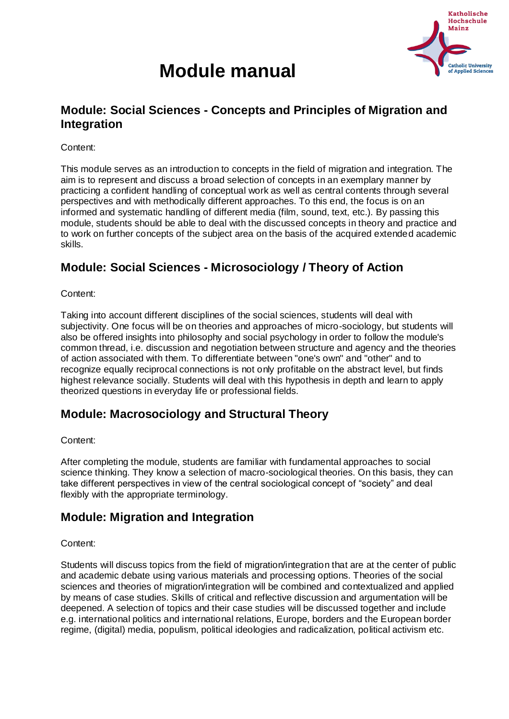

# **Module manual**

## **Module: Social Sciences - Concepts and Principles of Migration and Integration**

Content:

This module serves as an introduction to concepts in the field of migration and integration. The aim is to represent and discuss a broad selection of concepts in an exemplary manner by practicing a confident handling of conceptual work as well as central contents through several perspectives and with methodically different approaches. To this end, the focus is on an informed and systematic handling of different media (film, sound, text, etc.). By passing this module, students should be able to deal with the discussed concepts in theory and practice and to work on further concepts of the subject area on the basis of the acquired extended academic skills.

## **Module: Social Sciences - Microsociology / Theory of Action**

Content:

Taking into account different disciplines of the social sciences, students will deal with subjectivity. One focus will be on theories and approaches of micro-sociology, but students will also be offered insights into philosophy and social psychology in order to follow the module's common thread, i.e. discussion and negotiation between structure and agency and the theories of action associated with them. To differentiate between "one's own" and "other" and to recognize equally reciprocal connections is not only profitable on the abstract level, but finds highest relevance socially. Students will deal with this hypothesis in depth and learn to apply theorized questions in everyday life or professional fields.

## **Module: Macrosociology and Structural Theory**

#### Content:

After completing the module, students are familiar with fundamental approaches to social science thinking. They know a selection of macro-sociological theories. On this basis, they can take different perspectives in view of the central sociological concept of "society" and deal flexibly with the appropriate terminology.

## **Module: Migration and Integration**

#### Content:

Students will discuss topics from the field of migration/integration that are at the center of public and academic debate using various materials and processing options. Theories of the social sciences and theories of migration/integration will be combined and contextualized and applied by means of case studies. Skills of critical and reflective discussion and argumentation will be deepened. A selection of topics and their case studies will be discussed together and include e.g. international politics and international relations, Europe, borders and the European border regime, (digital) media, populism, political ideologies and radicalization, political activism etc.